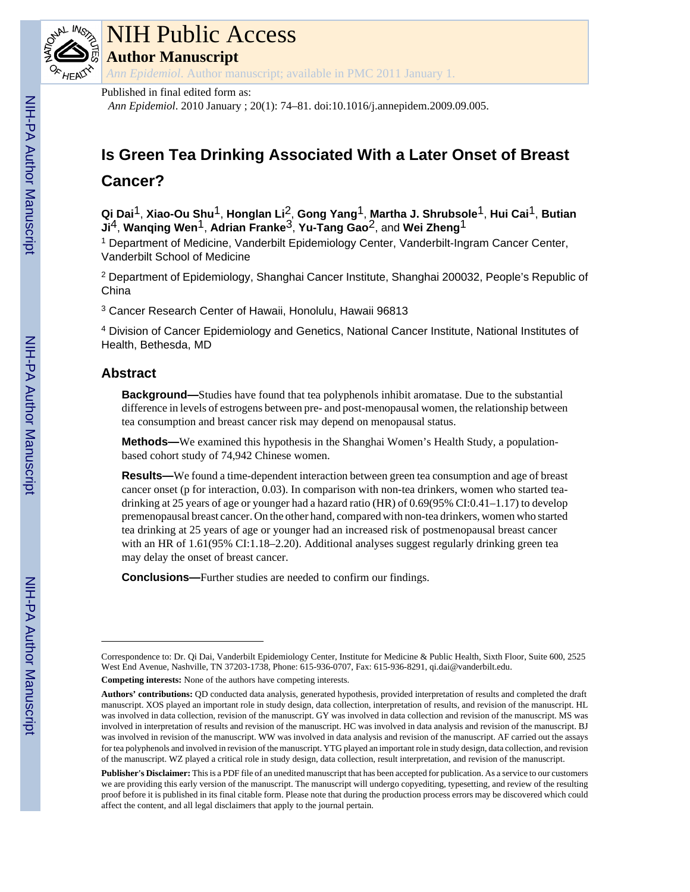

# NIH Public Access

**Author Manuscript**

*Ann Epidemiol*. Author manuscript; available in PMC 2011 January 1.

## Published in final edited form as:

*Ann Epidemiol*. 2010 January ; 20(1): 74–81. doi:10.1016/j.annepidem.2009.09.005.

## **Is Green Tea Drinking Associated With a Later Onset of Breast**

## **Cancer?**

**Qi Dai**1, **Xiao-Ou Shu**1, **Honglan Li**2, **Gong Yang**1, **Martha J. Shrubsole**1, **Hui Cai**1, **Butian Ji**4, **Wanqing Wen**1, **Adrian Franke**3, **Yu-Tang Gao**2, and **Wei Zheng**1

<sup>1</sup> Department of Medicine, Vanderbilt Epidemiology Center, Vanderbilt-Ingram Cancer Center, Vanderbilt School of Medicine

<sup>2</sup> Department of Epidemiology, Shanghai Cancer Institute, Shanghai 200032, People's Republic of China

3 Cancer Research Center of Hawaii, Honolulu, Hawaii 96813

<sup>4</sup> Division of Cancer Epidemiology and Genetics, National Cancer Institute, National Institutes of Health, Bethesda, MD

## **Abstract**

**Background—**Studies have found that tea polyphenols inhibit aromatase. Due to the substantial difference in levels of estrogens between pre- and post-menopausal women, the relationship between tea consumption and breast cancer risk may depend on menopausal status.

**Methods—**We examined this hypothesis in the Shanghai Women's Health Study, a populationbased cohort study of 74,942 Chinese women.

**Results—**We found a time-dependent interaction between green tea consumption and age of breast cancer onset (p for interaction, 0.03). In comparison with non-tea drinkers, women who started teadrinking at 25 years of age or younger had a hazard ratio (HR) of 0.69(95% CI:0.41–1.17) to develop premenopausal breast cancer. On the other hand, compared with non-tea drinkers, women who started tea drinking at 25 years of age or younger had an increased risk of postmenopausal breast cancer with an HR of 1.61(95% CI:1.18–2.20). Additional analyses suggest regularly drinking green tea may delay the onset of breast cancer.

**Conclusions—**Further studies are needed to confirm our findings.

Correspondence to: Dr. Qi Dai, Vanderbilt Epidemiology Center, Institute for Medicine & Public Health, Sixth Floor, Suite 600, 2525 West End Avenue, Nashville, TN 37203-1738, Phone: 615-936-0707, Fax: 615-936-8291, qi.dai@vanderbilt.edu.

**Competing interests:** None of the authors have competing interests.

**Authors' contributions:** QD conducted data analysis, generated hypothesis, provided interpretation of results and completed the draft manuscript. XOS played an important role in study design, data collection, interpretation of results, and revision of the manuscript. HL was involved in data collection, revision of the manuscript. GY was involved in data collection and revision of the manuscript. MS was involved in interpretation of results and revision of the manuscript. HC was involved in data analysis and revision of the manuscript. BJ was involved in revision of the manuscript. WW was involved in data analysis and revision of the manuscript. AF carried out the assays for tea polyphenols and involved in revision of the manuscript. YTG played an important role in study design, data collection, and revision of the manuscript. WZ played a critical role in study design, data collection, result interpretation, and revision of the manuscript.

**Publisher's Disclaimer:** This is a PDF file of an unedited manuscript that has been accepted for publication. As a service to our customers we are providing this early version of the manuscript. The manuscript will undergo copyediting, typesetting, and review of the resulting proof before it is published in its final citable form. Please note that during the production process errors may be discovered which could affect the content, and all legal disclaimers that apply to the journal pertain.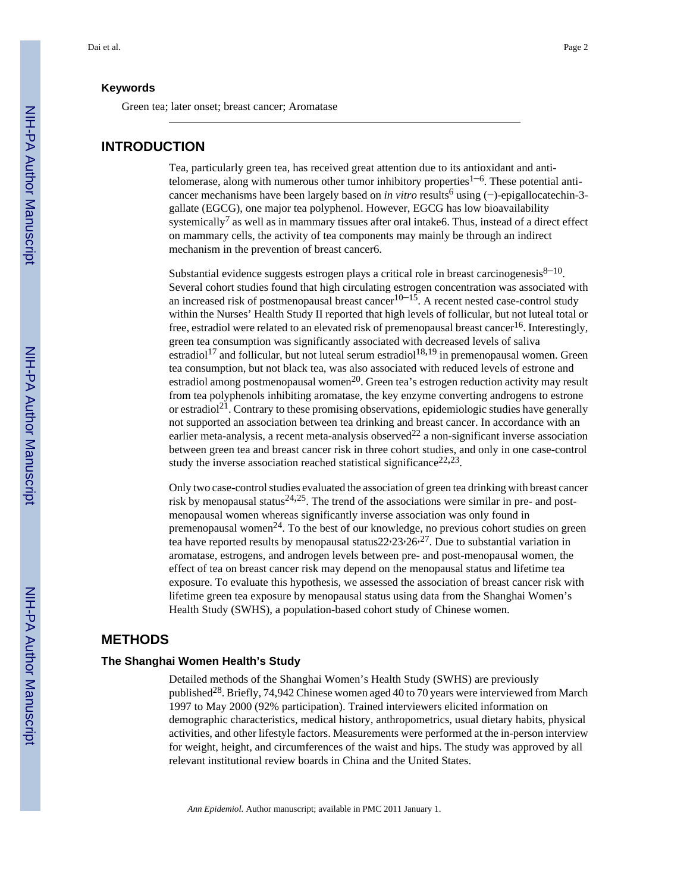Green tea; later onset; breast cancer; Aromatase

#### **INTRODUCTION**

Tea, particularly green tea, has received great attention due to its antioxidant and antitelomerase, along with numerous other tumor inhibitory properties<sup>1–6</sup>. These potential anticancer mechanisms have been largely based on *in vitro* results<sup>6</sup> using (−)-epigallocatechin-3gallate (EGCG), one major tea polyphenol. However, EGCG has low bioavailability systemically<sup>7</sup> as well as in mammary tissues after oral intake6. Thus, instead of a direct effect on mammary cells, the activity of tea components may mainly be through an indirect mechanism in the prevention of breast cancer6.

Substantial evidence suggests estrogen plays a critical role in breast carcinogenesis $8-10$ . Several cohort studies found that high circulating estrogen concentration was associated with an increased risk of postmenopausal breast cancer<sup>10–15</sup>. A recent nested case-control study within the Nurses' Health Study II reported that high levels of follicular, but not luteal total or free, estradiol were related to an elevated risk of premenopausal breast cancer<sup>16</sup>. Interestingly, green tea consumption was significantly associated with decreased levels of saliva estradiol<sup>17</sup> and follicular, but not luteal serum estradiol<sup>18,19</sup> in premenopausal women. Green tea consumption, but not black tea, was also associated with reduced levels of estrone and estradiol among postmenopausal women<sup>20</sup>. Green tea's estrogen reduction activity may result from tea polyphenols inhibiting aromatase, the key enzyme converting androgens to estrone or estradiol<sup>21</sup>. Contrary to these promising observations, epidemiologic studies have generally not supported an association between tea drinking and breast cancer. In accordance with an earlier meta-analysis, a recent meta-analysis observed<sup>22</sup> a non-significant inverse association between green tea and breast cancer risk in three cohort studies, and only in one case-control study the inverse association reached statistical significance<sup>22,23</sup>.

Only two case-control studies evaluated the association of green tea drinking with breast cancer risk by menopausal status<sup>24,25</sup>. The trend of the associations were similar in pre- and postmenopausal women whereas significantly inverse association was only found in premenopausal women<sup>24</sup>. To the best of our knowledge, no previous cohort studies on green tea have reported results by menopausal status $22.23 \cdot 26.27$ . Due to substantial variation in aromatase, estrogens, and androgen levels between pre- and post-menopausal women, the effect of tea on breast cancer risk may depend on the menopausal status and lifetime tea exposure. To evaluate this hypothesis, we assessed the association of breast cancer risk with lifetime green tea exposure by menopausal status using data from the Shanghai Women's Health Study (SWHS), a population-based cohort study of Chinese women.

### **METHODS**

#### **The Shanghai Women Health's Study**

Detailed methods of the Shanghai Women's Health Study (SWHS) are previously published28. Briefly, 74,942 Chinese women aged 40 to 70 years were interviewed from March 1997 to May 2000 (92% participation). Trained interviewers elicited information on demographic characteristics, medical history, anthropometrics, usual dietary habits, physical activities, and other lifestyle factors. Measurements were performed at the in-person interview for weight, height, and circumferences of the waist and hips. The study was approved by all relevant institutional review boards in China and the United States.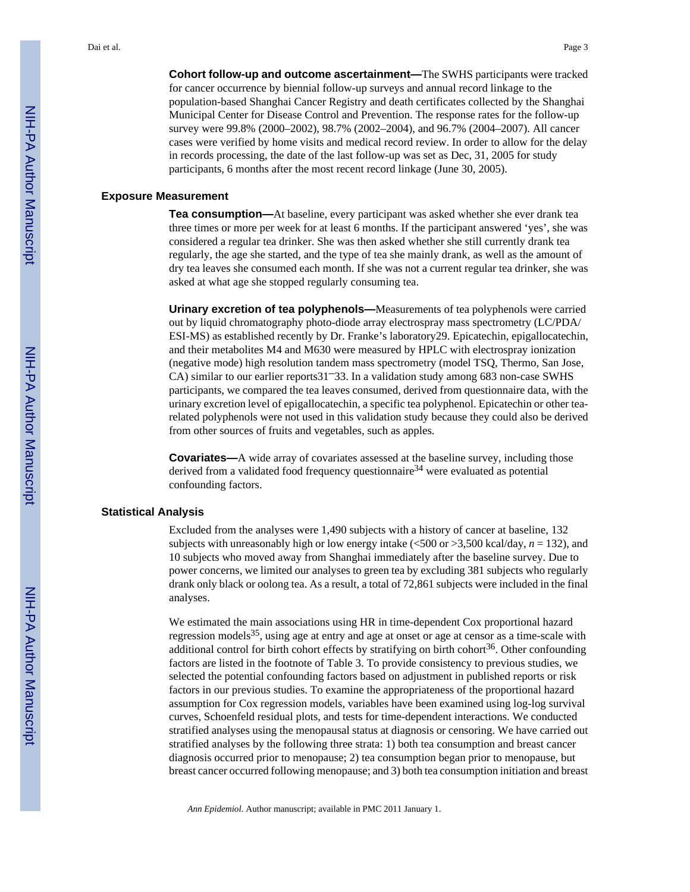**Cohort follow-up and outcome ascertainment—**The SWHS participants were tracked for cancer occurrence by biennial follow-up surveys and annual record linkage to the population-based Shanghai Cancer Registry and death certificates collected by the Shanghai Municipal Center for Disease Control and Prevention. The response rates for the follow-up survey were 99.8% (2000–2002), 98.7% (2002–2004), and 96.7% (2004–2007). All cancer cases were verified by home visits and medical record review. In order to allow for the delay in records processing, the date of the last follow-up was set as Dec, 31, 2005 for study participants, 6 months after the most recent record linkage (June 30, 2005).

#### **Exposure Measurement**

**Tea consumption—**At baseline, every participant was asked whether she ever drank tea three times or more per week for at least 6 months. If the participant answered 'yes', she was considered a regular tea drinker. She was then asked whether she still currently drank tea regularly, the age she started, and the type of tea she mainly drank, as well as the amount of dry tea leaves she consumed each month. If she was not a current regular tea drinker, she was asked at what age she stopped regularly consuming tea.

**Urinary excretion of tea polyphenols—**Measurements of tea polyphenols were carried out by liquid chromatography photo-diode array electrospray mass spectrometry (LC/PDA/ ESI-MS) as established recently by Dr. Franke's laboratory29. Epicatechin, epigallocatechin, and their metabolites M4 and M630 were measured by HPLC with electrospray ionization (negative mode) high resolution tandem mass spectrometry (model TSQ, Thermo, San Jose, CA) similar to our earlier reports31–33. In a validation study among 683 non-case SWHS participants, we compared the tea leaves consumed, derived from questionnaire data, with the urinary excretion level of epigallocatechin, a specific tea polyphenol. Epicatechin or other tearelated polyphenols were not used in this validation study because they could also be derived from other sources of fruits and vegetables, such as apples.

**Covariates—**A wide array of covariates assessed at the baseline survey, including those derived from a validated food frequency questionnaire<sup>34</sup> were evaluated as potential confounding factors.

#### **Statistical Analysis**

Excluded from the analyses were 1,490 subjects with a history of cancer at baseline, 132 subjects with unreasonably high or low energy intake (<500 or >3,500 kcal/day, *n* = 132), and 10 subjects who moved away from Shanghai immediately after the baseline survey. Due to power concerns, we limited our analyses to green tea by excluding 381 subjects who regularly drank only black or oolong tea. As a result, a total of 72,861 subjects were included in the final analyses.

We estimated the main associations using HR in time-dependent Cox proportional hazard regression models<sup>35</sup>, using age at entry and age at onset or age at censor as a time-scale with additional control for birth cohort effects by stratifying on birth cohort $36$ . Other confounding factors are listed in the footnote of Table 3. To provide consistency to previous studies, we selected the potential confounding factors based on adjustment in published reports or risk factors in our previous studies. To examine the appropriateness of the proportional hazard assumption for Cox regression models, variables have been examined using log-log survival curves, Schoenfeld residual plots, and tests for time-dependent interactions. We conducted stratified analyses using the menopausal status at diagnosis or censoring. We have carried out stratified analyses by the following three strata: 1) both tea consumption and breast cancer diagnosis occurred prior to menopause; 2) tea consumption began prior to menopause, but breast cancer occurred following menopause; and 3) both tea consumption initiation and breast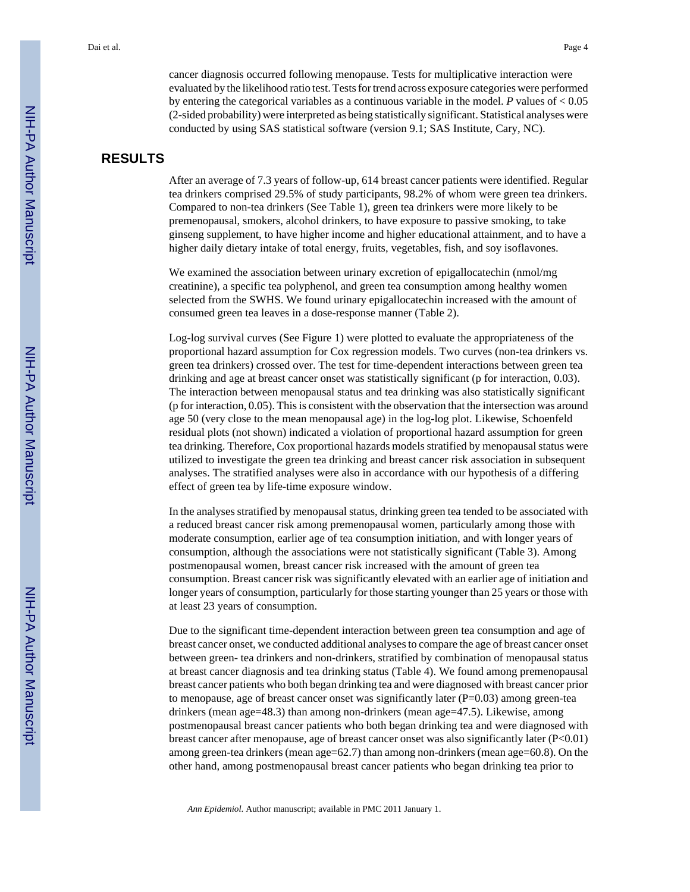cancer diagnosis occurred following menopause. Tests for multiplicative interaction were evaluated by the likelihood ratio test. Tests for trend across exposure categories were performed by entering the categorical variables as a continuous variable in the model. *P* values of < 0.05 (2-sided probability) were interpreted as being statistically significant. Statistical analyses were conducted by using SAS statistical software (version 9.1; SAS Institute, Cary, NC).

## **RESULTS**

After an average of 7.3 years of follow-up, 614 breast cancer patients were identified. Regular tea drinkers comprised 29.5% of study participants, 98.2% of whom were green tea drinkers. Compared to non-tea drinkers (See Table 1), green tea drinkers were more likely to be premenopausal, smokers, alcohol drinkers, to have exposure to passive smoking, to take ginseng supplement, to have higher income and higher educational attainment, and to have a higher daily dietary intake of total energy, fruits, vegetables, fish, and soy isoflavones.

We examined the association between urinary excretion of epigallocatechin (nmol/mg creatinine), a specific tea polyphenol, and green tea consumption among healthy women selected from the SWHS. We found urinary epigallocatechin increased with the amount of consumed green tea leaves in a dose-response manner (Table 2).

Log-log survival curves (See Figure 1) were plotted to evaluate the appropriateness of the proportional hazard assumption for Cox regression models. Two curves (non-tea drinkers vs. green tea drinkers) crossed over. The test for time-dependent interactions between green tea drinking and age at breast cancer onset was statistically significant (p for interaction, 0.03). The interaction between menopausal status and tea drinking was also statistically significant (p for interaction, 0.05). This is consistent with the observation that the intersection was around age 50 (very close to the mean menopausal age) in the log-log plot. Likewise, Schoenfeld residual plots (not shown) indicated a violation of proportional hazard assumption for green tea drinking. Therefore, Cox proportional hazards models stratified by menopausal status were utilized to investigate the green tea drinking and breast cancer risk association in subsequent analyses. The stratified analyses were also in accordance with our hypothesis of a differing effect of green tea by life-time exposure window.

In the analyses stratified by menopausal status, drinking green tea tended to be associated with a reduced breast cancer risk among premenopausal women, particularly among those with moderate consumption, earlier age of tea consumption initiation, and with longer years of consumption, although the associations were not statistically significant (Table 3). Among postmenopausal women, breast cancer risk increased with the amount of green tea consumption. Breast cancer risk was significantly elevated with an earlier age of initiation and longer years of consumption, particularly for those starting younger than 25 years or those with at least 23 years of consumption.

Due to the significant time-dependent interaction between green tea consumption and age of breast cancer onset, we conducted additional analyses to compare the age of breast cancer onset between green- tea drinkers and non-drinkers, stratified by combination of menopausal status at breast cancer diagnosis and tea drinking status (Table 4). We found among premenopausal breast cancer patients who both began drinking tea and were diagnosed with breast cancer prior to menopause, age of breast cancer onset was significantly later  $(P=0.03)$  among green-tea drinkers (mean age=48.3) than among non-drinkers (mean age=47.5). Likewise, among postmenopausal breast cancer patients who both began drinking tea and were diagnosed with breast cancer after menopause, age of breast cancer onset was also significantly later (P<0.01) among green-tea drinkers (mean age=62.7) than among non-drinkers (mean age=60.8). On the other hand, among postmenopausal breast cancer patients who began drinking tea prior to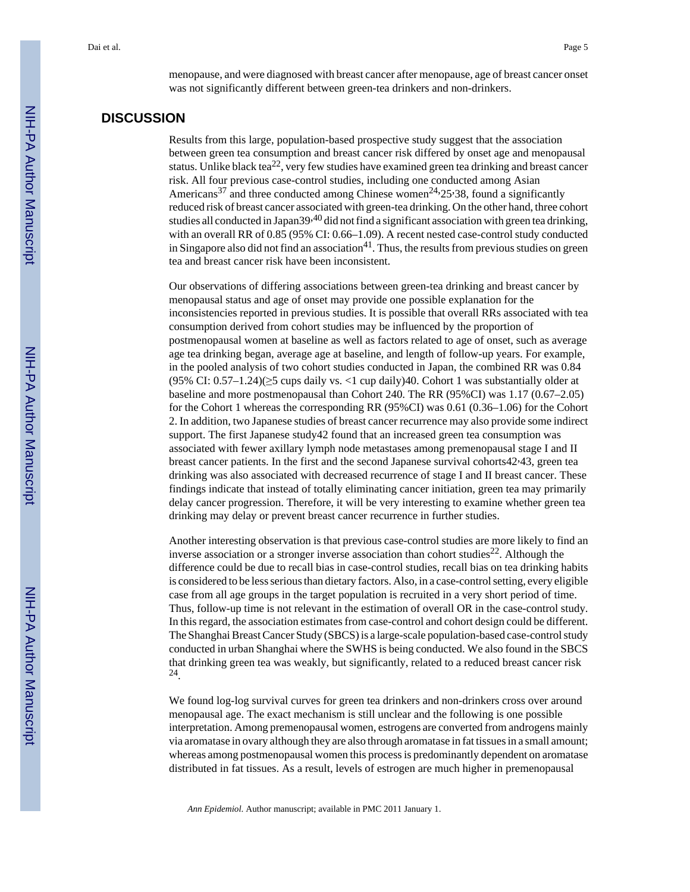menopause, and were diagnosed with breast cancer after menopause, age of breast cancer onset was not significantly different between green-tea drinkers and non-drinkers.

## **DISCUSSION**

Results from this large, population-based prospective study suggest that the association between green tea consumption and breast cancer risk differed by onset age and menopausal status. Unlike black tea<sup>22</sup>, very few studies have examined green tea drinking and breast cancer risk. All four previous case-control studies, including one conducted among Asian Americans<sup>37</sup> and three conducted among Chinese women<sup>24,</sup>25<sup>,</sup>38, found a significantly reduced risk of breast cancer associated with green-tea drinking. On the other hand, three cohort studies all conducted in Japan39<sup>,40</sup> did not find a significant association with green tea drinking, with an overall RR of 0.85 (95% CI: 0.66–1.09). A recent nested case-control study conducted in Singapore also did not find an association $41$ . Thus, the results from previous studies on green tea and breast cancer risk have been inconsistent.

Our observations of differing associations between green-tea drinking and breast cancer by menopausal status and age of onset may provide one possible explanation for the inconsistencies reported in previous studies. It is possible that overall RRs associated with tea consumption derived from cohort studies may be influenced by the proportion of postmenopausal women at baseline as well as factors related to age of onset, such as average age tea drinking began, average age at baseline, and length of follow-up years. For example, in the pooled analysis of two cohort studies conducted in Japan, the combined RR was 0.84 (95% CI:  $0.57-1.24$ )( $\geq$ 5 cups daily vs. <1 cup daily)40. Cohort 1 was substantially older at baseline and more postmenopausal than Cohort 240. The RR (95%CI) was 1.17 (0.67–2.05) for the Cohort 1 whereas the corresponding RR (95%CI) was 0.61 (0.36–1.06) for the Cohort 2. In addition, two Japanese studies of breast cancer recurrence may also provide some indirect support. The first Japanese study42 found that an increased green tea consumption was associated with fewer axillary lymph node metastases among premenopausal stage I and II breast cancer patients. In the first and the second Japanese survival cohorts42,43, green tea drinking was also associated with decreased recurrence of stage I and II breast cancer. These findings indicate that instead of totally eliminating cancer initiation, green tea may primarily delay cancer progression. Therefore, it will be very interesting to examine whether green tea drinking may delay or prevent breast cancer recurrence in further studies.

Another interesting observation is that previous case-control studies are more likely to find an inverse association or a stronger inverse association than cohort studies<sup>22</sup>. Although the difference could be due to recall bias in case-control studies, recall bias on tea drinking habits is considered to be less serious than dietary factors. Also, in a case-control setting, every eligible case from all age groups in the target population is recruited in a very short period of time. Thus, follow-up time is not relevant in the estimation of overall OR in the case-control study. In this regard, the association estimates from case-control and cohort design could be different. The Shanghai Breast Cancer Study (SBCS) is a large-scale population-based case-control study conducted in urban Shanghai where the SWHS is being conducted. We also found in the SBCS that drinking green tea was weakly, but significantly, related to a reduced breast cancer risk 24 .

We found log-log survival curves for green tea drinkers and non-drinkers cross over around menopausal age. The exact mechanism is still unclear and the following is one possible interpretation. Among premenopausal women, estrogens are converted from androgens mainly via aromatase in ovary although they are also through aromatase in fat tissues in a small amount; whereas among postmenopausal women this process is predominantly dependent on aromatase distributed in fat tissues. As a result, levels of estrogen are much higher in premenopausal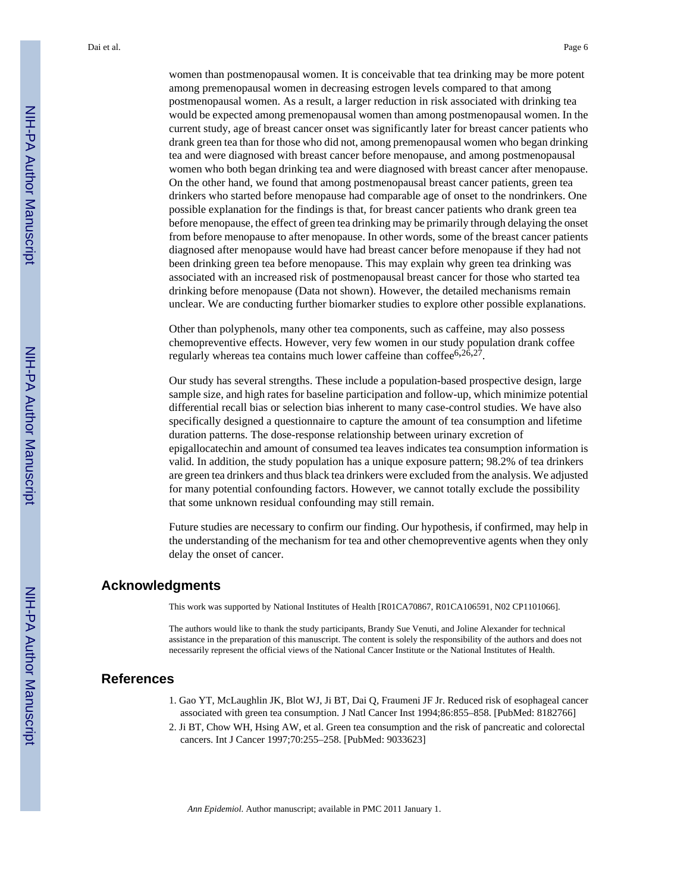women than postmenopausal women. It is conceivable that tea drinking may be more potent among premenopausal women in decreasing estrogen levels compared to that among postmenopausal women. As a result, a larger reduction in risk associated with drinking tea would be expected among premenopausal women than among postmenopausal women. In the current study, age of breast cancer onset was significantly later for breast cancer patients who drank green tea than for those who did not, among premenopausal women who began drinking tea and were diagnosed with breast cancer before menopause, and among postmenopausal women who both began drinking tea and were diagnosed with breast cancer after menopause. On the other hand, we found that among postmenopausal breast cancer patients, green tea drinkers who started before menopause had comparable age of onset to the nondrinkers. One possible explanation for the findings is that, for breast cancer patients who drank green tea before menopause, the effect of green tea drinking may be primarily through delaying the onset from before menopause to after menopause. In other words, some of the breast cancer patients diagnosed after menopause would have had breast cancer before menopause if they had not been drinking green tea before menopause. This may explain why green tea drinking was associated with an increased risk of postmenopausal breast cancer for those who started tea drinking before menopause (Data not shown). However, the detailed mechanisms remain unclear. We are conducting further biomarker studies to explore other possible explanations.

Other than polyphenols, many other tea components, such as caffeine, may also possess chemopreventive effects. However, very few women in our study population drank coffee regularly whereas tea contains much lower caffeine than coffee $6,26,27$ .

Our study has several strengths. These include a population-based prospective design, large sample size, and high rates for baseline participation and follow-up, which minimize potential differential recall bias or selection bias inherent to many case-control studies. We have also specifically designed a questionnaire to capture the amount of tea consumption and lifetime duration patterns. The dose-response relationship between urinary excretion of epigallocatechin and amount of consumed tea leaves indicates tea consumption information is valid. In addition, the study population has a unique exposure pattern; 98.2% of tea drinkers are green tea drinkers and thus black tea drinkers were excluded from the analysis. We adjusted for many potential confounding factors. However, we cannot totally exclude the possibility that some unknown residual confounding may still remain.

Future studies are necessary to confirm our finding. Our hypothesis, if confirmed, may help in the understanding of the mechanism for tea and other chemopreventive agents when they only delay the onset of cancer.

#### **Acknowledgments**

This work was supported by National Institutes of Health [R01CA70867, R01CA106591, N02 CP1101066].

The authors would like to thank the study participants, Brandy Sue Venuti, and Joline Alexander for technical assistance in the preparation of this manuscript. The content is solely the responsibility of the authors and does not necessarily represent the official views of the National Cancer Institute or the National Institutes of Health.

#### **References**

- 1. Gao YT, McLaughlin JK, Blot WJ, Ji BT, Dai Q, Fraumeni JF Jr. Reduced risk of esophageal cancer associated with green tea consumption. J Natl Cancer Inst 1994;86:855–858. [PubMed: 8182766]
- 2. Ji BT, Chow WH, Hsing AW, et al. Green tea consumption and the risk of pancreatic and colorectal cancers. Int J Cancer 1997;70:255–258. [PubMed: 9033623]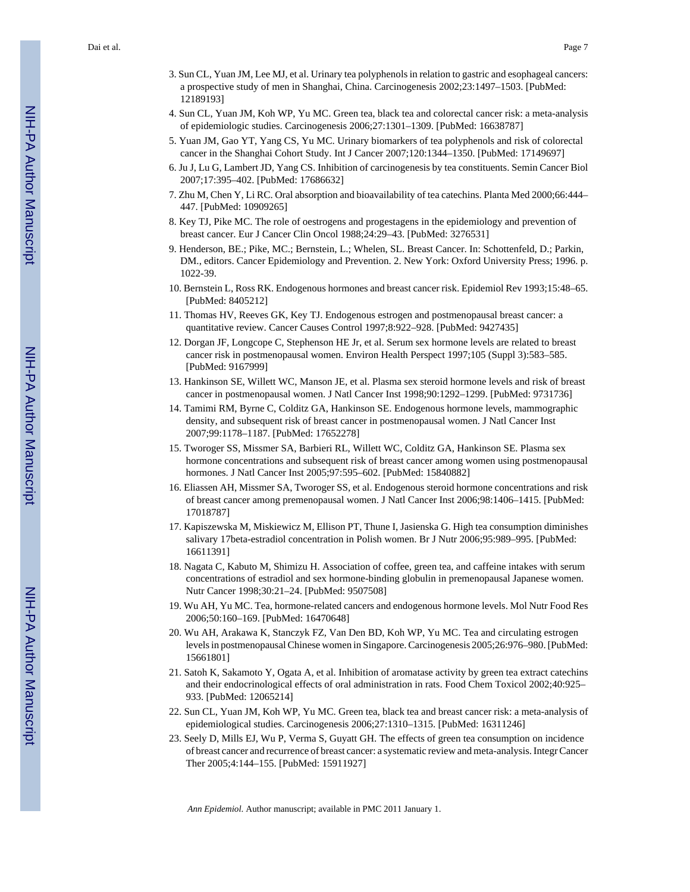- 3. Sun CL, Yuan JM, Lee MJ, et al. Urinary tea polyphenols in relation to gastric and esophageal cancers: a prospective study of men in Shanghai, China. Carcinogenesis 2002;23:1497–1503. [PubMed: 12189193]
- 4. Sun CL, Yuan JM, Koh WP, Yu MC. Green tea, black tea and colorectal cancer risk: a meta-analysis of epidemiologic studies. Carcinogenesis 2006;27:1301–1309. [PubMed: 16638787]
- 5. Yuan JM, Gao YT, Yang CS, Yu MC. Urinary biomarkers of tea polyphenols and risk of colorectal cancer in the Shanghai Cohort Study. Int J Cancer 2007;120:1344–1350. [PubMed: 17149697]
- 6. Ju J, Lu G, Lambert JD, Yang CS. Inhibition of carcinogenesis by tea constituents. Semin Cancer Biol 2007;17:395–402. [PubMed: 17686632]
- 7. Zhu M, Chen Y, Li RC. Oral absorption and bioavailability of tea catechins. Planta Med 2000;66:444– 447. [PubMed: 10909265]
- 8. Key TJ, Pike MC. The role of oestrogens and progestagens in the epidemiology and prevention of breast cancer. Eur J Cancer Clin Oncol 1988;24:29–43. [PubMed: 3276531]
- 9. Henderson, BE.; Pike, MC.; Bernstein, L.; Whelen, SL. Breast Cancer. In: Schottenfeld, D.; Parkin, DM., editors. Cancer Epidemiology and Prevention. 2. New York: Oxford University Press; 1996. p. 1022-39.
- 10. Bernstein L, Ross RK. Endogenous hormones and breast cancer risk. Epidemiol Rev 1993;15:48–65. [PubMed: 8405212]
- 11. Thomas HV, Reeves GK, Key TJ. Endogenous estrogen and postmenopausal breast cancer: a quantitative review. Cancer Causes Control 1997;8:922–928. [PubMed: 9427435]
- 12. Dorgan JF, Longcope C, Stephenson HE Jr, et al. Serum sex hormone levels are related to breast cancer risk in postmenopausal women. Environ Health Perspect 1997;105 (Suppl 3):583–585. [PubMed: 9167999]
- 13. Hankinson SE, Willett WC, Manson JE, et al. Plasma sex steroid hormone levels and risk of breast cancer in postmenopausal women. J Natl Cancer Inst 1998;90:1292–1299. [PubMed: 9731736]
- 14. Tamimi RM, Byrne C, Colditz GA, Hankinson SE. Endogenous hormone levels, mammographic density, and subsequent risk of breast cancer in postmenopausal women. J Natl Cancer Inst 2007;99:1178–1187. [PubMed: 17652278]
- 15. Tworoger SS, Missmer SA, Barbieri RL, Willett WC, Colditz GA, Hankinson SE. Plasma sex hormone concentrations and subsequent risk of breast cancer among women using postmenopausal hormones. J Natl Cancer Inst 2005;97:595–602. [PubMed: 15840882]
- 16. Eliassen AH, Missmer SA, Tworoger SS, et al. Endogenous steroid hormone concentrations and risk of breast cancer among premenopausal women. J Natl Cancer Inst 2006;98:1406–1415. [PubMed: 17018787]
- 17. Kapiszewska M, Miskiewicz M, Ellison PT, Thune I, Jasienska G. High tea consumption diminishes salivary 17beta-estradiol concentration in Polish women. Br J Nutr 2006;95:989–995. [PubMed: 16611391]
- 18. Nagata C, Kabuto M, Shimizu H. Association of coffee, green tea, and caffeine intakes with serum concentrations of estradiol and sex hormone-binding globulin in premenopausal Japanese women. Nutr Cancer 1998;30:21–24. [PubMed: 9507508]
- 19. Wu AH, Yu MC. Tea, hormone-related cancers and endogenous hormone levels. Mol Nutr Food Res 2006;50:160–169. [PubMed: 16470648]
- 20. Wu AH, Arakawa K, Stanczyk FZ, Van Den BD, Koh WP, Yu MC. Tea and circulating estrogen levels in postmenopausal Chinese women in Singapore. Carcinogenesis 2005;26:976–980. [PubMed: 15661801]
- 21. Satoh K, Sakamoto Y, Ogata A, et al. Inhibition of aromatase activity by green tea extract catechins and their endocrinological effects of oral administration in rats. Food Chem Toxicol 2002;40:925– 933. [PubMed: 12065214]
- 22. Sun CL, Yuan JM, Koh WP, Yu MC. Green tea, black tea and breast cancer risk: a meta-analysis of epidemiological studies. Carcinogenesis 2006;27:1310–1315. [PubMed: 16311246]
- 23. Seely D, Mills EJ, Wu P, Verma S, Guyatt GH. The effects of green tea consumption on incidence of breast cancer and recurrence of breast cancer: a systematic review and meta-analysis. Integr Cancer Ther 2005;4:144–155. [PubMed: 15911927]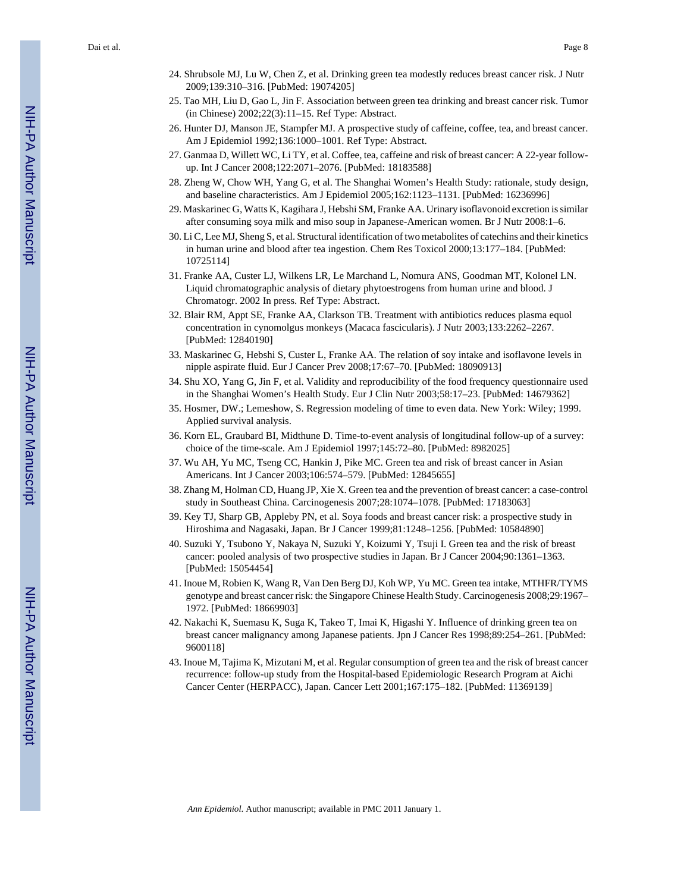Dai et al. Page 8

- 24. Shrubsole MJ, Lu W, Chen Z, et al. Drinking green tea modestly reduces breast cancer risk. J Nutr 2009;139:310–316. [PubMed: 19074205]
- 25. Tao MH, Liu D, Gao L, Jin F. Association between green tea drinking and breast cancer risk. Tumor (in Chinese) 2002;22(3):11–15. Ref Type: Abstract.
- 26. Hunter DJ, Manson JE, Stampfer MJ. A prospective study of caffeine, coffee, tea, and breast cancer. Am J Epidemiol 1992;136:1000–1001. Ref Type: Abstract.
- 27. Ganmaa D, Willett WC, Li TY, et al. Coffee, tea, caffeine and risk of breast cancer: A 22-year followup. Int J Cancer 2008;122:2071–2076. [PubMed: 18183588]
- 28. Zheng W, Chow WH, Yang G, et al. The Shanghai Women's Health Study: rationale, study design, and baseline characteristics. Am J Epidemiol 2005;162:1123–1131. [PubMed: 16236996]
- 29. Maskarinec G, Watts K, Kagihara J, Hebshi SM, Franke AA. Urinary isoflavonoid excretion is similar after consuming soya milk and miso soup in Japanese-American women. Br J Nutr 2008:1–6.
- 30. Li C, Lee MJ, Sheng S, et al. Structural identification of two metabolites of catechins and their kinetics in human urine and blood after tea ingestion. Chem Res Toxicol 2000;13:177–184. [PubMed: 10725114]
- 31. Franke AA, Custer LJ, Wilkens LR, Le Marchand L, Nomura ANS, Goodman MT, Kolonel LN. Liquid chromatographic analysis of dietary phytoestrogens from human urine and blood. J Chromatogr. 2002 In press. Ref Type: Abstract.
- 32. Blair RM, Appt SE, Franke AA, Clarkson TB. Treatment with antibiotics reduces plasma equol concentration in cynomolgus monkeys (Macaca fascicularis). J Nutr 2003;133:2262–2267. [PubMed: 12840190]
- 33. Maskarinec G, Hebshi S, Custer L, Franke AA. The relation of soy intake and isoflavone levels in nipple aspirate fluid. Eur J Cancer Prev 2008;17:67–70. [PubMed: 18090913]
- 34. Shu XO, Yang G, Jin F, et al. Validity and reproducibility of the food frequency questionnaire used in the Shanghai Women's Health Study. Eur J Clin Nutr 2003;58:17–23. [PubMed: 14679362]
- 35. Hosmer, DW.; Lemeshow, S. Regression modeling of time to even data. New York: Wiley; 1999. Applied survival analysis.
- 36. Korn EL, Graubard BI, Midthune D. Time-to-event analysis of longitudinal follow-up of a survey: choice of the time-scale. Am J Epidemiol 1997;145:72–80. [PubMed: 8982025]
- 37. Wu AH, Yu MC, Tseng CC, Hankin J, Pike MC. Green tea and risk of breast cancer in Asian Americans. Int J Cancer 2003;106:574–579. [PubMed: 12845655]
- 38. Zhang M, Holman CD, Huang JP, Xie X. Green tea and the prevention of breast cancer: a case-control study in Southeast China. Carcinogenesis 2007;28:1074–1078. [PubMed: 17183063]
- 39. Key TJ, Sharp GB, Appleby PN, et al. Soya foods and breast cancer risk: a prospective study in Hiroshima and Nagasaki, Japan. Br J Cancer 1999;81:1248–1256. [PubMed: 10584890]
- 40. Suzuki Y, Tsubono Y, Nakaya N, Suzuki Y, Koizumi Y, Tsuji I. Green tea and the risk of breast cancer: pooled analysis of two prospective studies in Japan. Br J Cancer 2004;90:1361–1363. [PubMed: 15054454]
- 41. Inoue M, Robien K, Wang R, Van Den Berg DJ, Koh WP, Yu MC. Green tea intake, MTHFR/TYMS genotype and breast cancer risk: the Singapore Chinese Health Study. Carcinogenesis 2008;29:1967– 1972. [PubMed: 18669903]
- 42. Nakachi K, Suemasu K, Suga K, Takeo T, Imai K, Higashi Y. Influence of drinking green tea on breast cancer malignancy among Japanese patients. Jpn J Cancer Res 1998;89:254–261. [PubMed: 9600118]
- 43. Inoue M, Tajima K, Mizutani M, et al. Regular consumption of green tea and the risk of breast cancer recurrence: follow-up study from the Hospital-based Epidemiologic Research Program at Aichi Cancer Center (HERPACC), Japan. Cancer Lett 2001;167:175–182. [PubMed: 11369139]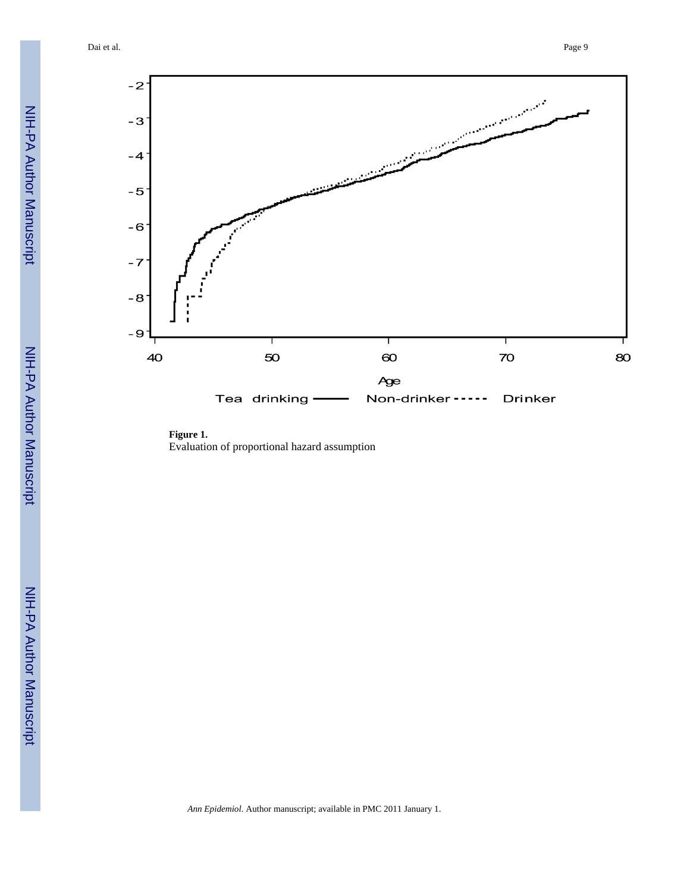Dai et al. Page 9



**Figure 1.** Evaluation of proportional hazard assumption

NIH-PA Author Manuscript

NIH-PA Author Manuscript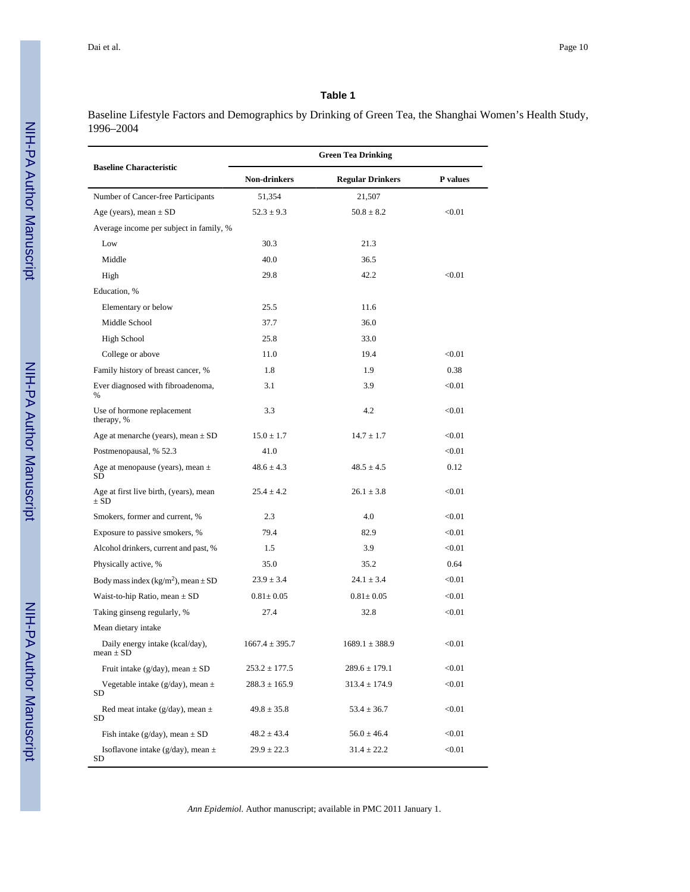Baseline Lifestyle Factors and Demographics by Drinking of Green Tea, the Shanghai Women's Health Study, 1996–2004

|                                                     | <b>Green Tea Drinking</b> |                         |          |  |
|-----------------------------------------------------|---------------------------|-------------------------|----------|--|
| <b>Baseline Characteristic</b>                      | Non-drinkers              | <b>Regular Drinkers</b> | P values |  |
| Number of Cancer-free Participants                  | 51,354                    | 21,507                  |          |  |
| Age (years), mean $\pm$ SD                          | $52.3 \pm 9.3$            | $50.8 \pm 8.2$          | < 0.01   |  |
| Average income per subject in family, %             |                           |                         |          |  |
| Low                                                 | 30.3                      | 21.3                    |          |  |
| Middle                                              | 40.0                      | 36.5                    |          |  |
| High                                                | 29.8                      | 42.2                    | < 0.01   |  |
| Education, %                                        |                           |                         |          |  |
| Elementary or below                                 | 25.5                      | 11.6                    |          |  |
| Middle School                                       | 37.7                      | 36.0                    |          |  |
| <b>High School</b>                                  | 25.8                      | 33.0                    |          |  |
| College or above                                    | 11.0                      | 19.4                    | < 0.01   |  |
| Family history of breast cancer, %                  | 1.8                       | 1.9                     | 0.38     |  |
| Ever diagnosed with fibroadenoma,<br>%              | 3.1                       | 3.9                     | < 0.01   |  |
| Use of hormone replacement<br>therapy, %            | 3.3                       | 4.2                     | < 0.01   |  |
| Age at menarche (years), mean $\pm$ SD              | $15.0 \pm 1.7$            | $14.7 \pm 1.7$          | < 0.01   |  |
| Postmenopausal, % 52.3                              | 41.0                      |                         | < 0.01   |  |
| Age at menopause (years), mean $\pm$<br>SD          | $48.6 \pm 4.3$            | $48.5 \pm 4.5$          | 0.12     |  |
| Age at first live birth, (years), mean<br>$\pm$ SD  | $25.4 \pm 4.2$            | $26.1 \pm 3.8$          | < 0.01   |  |
| Smokers, former and current, %                      | 2.3                       | 4.0                     | < 0.01   |  |
| Exposure to passive smokers, %                      | 79.4                      | 82.9                    | < 0.01   |  |
| Alcohol drinkers, current and past, %               | 1.5                       | 3.9                     | < 0.01   |  |
| Physically active, %                                | 35.0                      | 35.2                    | 0.64     |  |
| Body mass index (kg/m <sup>2</sup> ), mean $\pm$ SD | $23.9 \pm 3.4$            | $24.1 \pm 3.4$          | < 0.01   |  |
| Waist-to-hip Ratio, mean $\pm$ SD                   | $0.81 \pm 0.05$           | $0.81 \pm 0.05$         | < 0.01   |  |
| Taking ginseng regularly, %                         | 27.4                      | 32.8                    | < 0.01   |  |
| Mean dietary intake                                 |                           |                         |          |  |
| Daily energy intake (kcal/day),<br>$mean \pm SD$    | $1667.4 \pm 395.7$        | $1689.1 \pm 388.9$      | < 0.01   |  |
| Fruit intake ( $g/day$ ), mean $\pm$ SD             | $253.2 \pm 177.5$         | $289.6 \pm 179.1$       | < 0.01   |  |
| Vegetable intake ( $g/day$ ), mean $\pm$<br>SD      | $288.3 \pm 165.9$         | $313.4 \pm 174.9$       | < 0.01   |  |
| Red meat intake ( $g/day$ ), mean $\pm$<br>SD       | $49.8 \pm 35.8$           | $53.4 \pm 36.7$         | < 0.01   |  |
| Fish intake (g/day), mean $\pm$ SD                  | $48.2 \pm 43.4$           | $56.0 \pm 46.4$         | < 0.01   |  |
| Isoflavone intake (g/day), mean $\pm$<br>SD         | $29.9 \pm 22.3$           | $31.4 \pm 22.2$         | < 0.01   |  |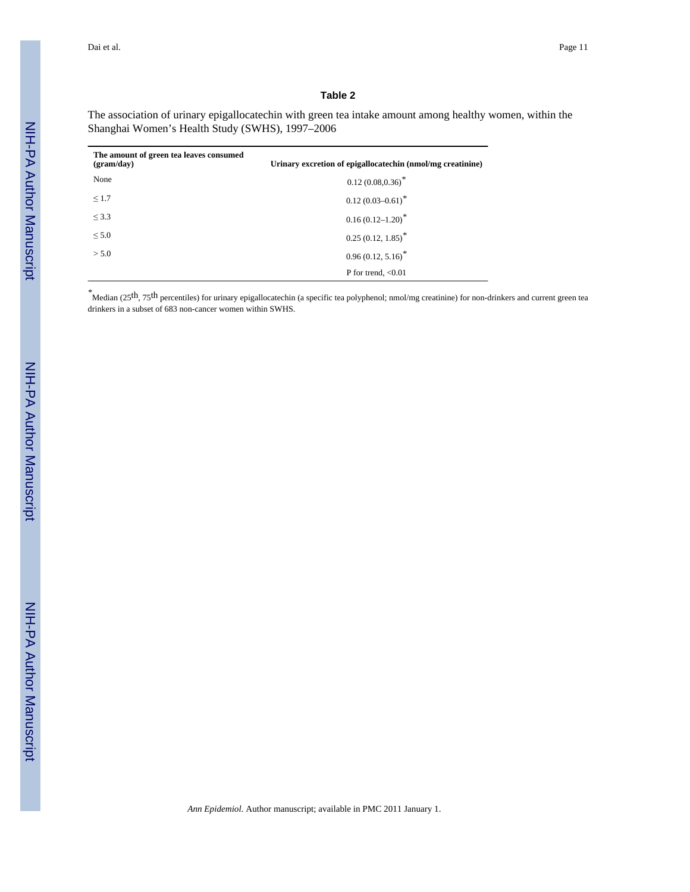The association of urinary epigallocatechin with green tea intake amount among healthy women, within the Shanghai Women's Health Study (SWHS), 1997–2006

| The amount of green tea leaves consumed<br>(gram/day) | Urinary excretion of epigallocatechin (nmol/mg creatinine) |
|-------------------------------------------------------|------------------------------------------------------------|
| None                                                  | $0.12(0.08, 0.36)^*$                                       |
| $\leq 1.7$                                            | $0.12(0.03 - 0.61)^*$                                      |
| $\leq$ 3.3                                            | $0.16(0.12 - 1.20)^*$                                      |
| $\leq 5.0$                                            | $0.25(0.12, 1.85)^*$                                       |
| > 5.0                                                 | $0.96(0.12, 5.16)^*$                                       |
|                                                       | P for trend, $< 0.01$                                      |

*\**Median (25th, 75th percentiles) for urinary epigallocatechin (a specific tea polyphenol; nmol/mg creatinine) for non-drinkers and current green tea drinkers in a subset of 683 non-cancer women within SWHS.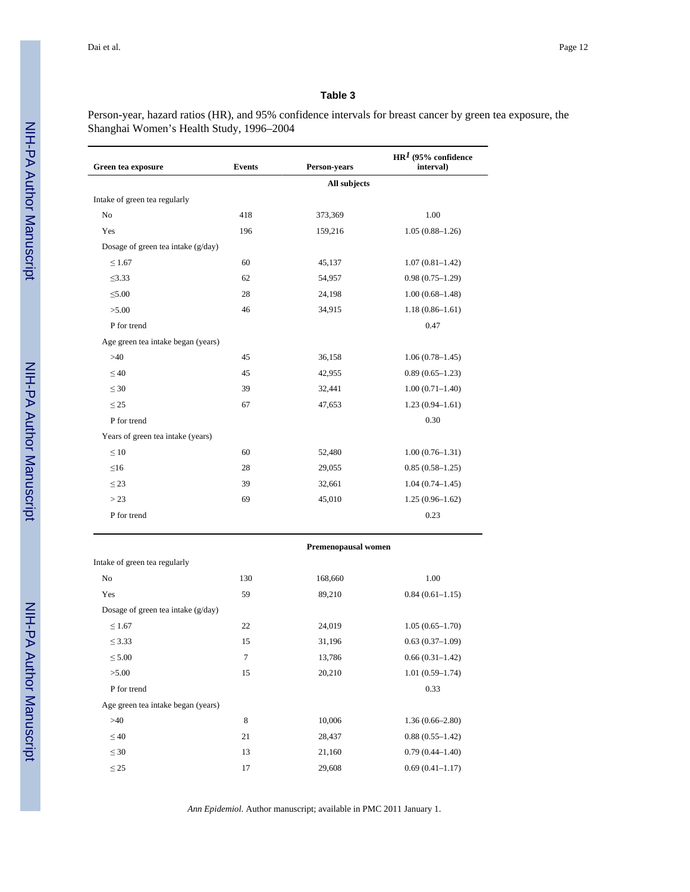Person-year, hazard ratios (HR), and 95% confidence intervals for breast cancer by green tea exposure, the Shanghai Women's Health Study, 1996–2004

| Green tea exposure                   | <b>Events</b> | Person-years | $HR1$ (95% confidence<br>interval) |  |  |
|--------------------------------------|---------------|--------------|------------------------------------|--|--|
|                                      |               | All subjects |                                    |  |  |
| Intake of green tea regularly        |               |              |                                    |  |  |
| N <sub>o</sub>                       | 418           | 373,369      | 1.00                               |  |  |
| Yes                                  | 196           | 159,216      | $1.05(0.88 - 1.26)$                |  |  |
| Dosage of green tea intake $(g/day)$ |               |              |                                    |  |  |
| $\leq 1.67$                          | 60            | 45,137       | $1.07(0.81 - 1.42)$                |  |  |
| $\leq$ 3.33                          | 62            | 54,957       | $0.98(0.75-1.29)$                  |  |  |
| $\leq 5.00$                          | 28            | 24,198       | $1.00(0.68 - 1.48)$                |  |  |
| >5.00                                | 46            | 34,915       | $1.18(0.86 - 1.61)$                |  |  |
| P for trend                          |               |              | 0.47                               |  |  |
| Age green tea intake began (years)   |               |              |                                    |  |  |
| >40                                  | 45            | 36,158       | $1.06(0.78 - 1.45)$                |  |  |
| $\leq 40$                            | 45            | 42,955       | $0.89(0.65-1.23)$                  |  |  |
| $\leq 30$                            | 39            | 32,441       | $1.00(0.71 - 1.40)$                |  |  |
| $\leq$ 25                            | 67            | 47,653       | $1.23(0.94 - 1.61)$                |  |  |
| P for trend                          |               |              | 0.30                               |  |  |
| Years of green tea intake (years)    |               |              |                                    |  |  |
| $\leq 10$                            | 60            | 52,480       | $1.00(0.76 - 1.31)$                |  |  |
| $\leq16$                             | 28            | 29,055       | $0.85(0.58 - 1.25)$                |  |  |
| $\leq$ 23                            | 39            | 32,661       | $1.04(0.74 - 1.45)$                |  |  |
| > 23                                 | 69            | 45,010       | $1.25(0.96-1.62)$                  |  |  |
| P for trend                          |               |              | 0.23                               |  |  |

| Intake of green tea regularly        |                |         |                     |
|--------------------------------------|----------------|---------|---------------------|
| No                                   | 130            | 168,660 | 1.00                |
| Yes                                  | 59             | 89,210  | $0.84(0.61-1.15)$   |
| Dosage of green tea intake $(g/day)$ |                |         |                     |
| $\leq 1.67$                          | 22             | 24,019  | $1.05(0.65 - 1.70)$ |
| $\leq$ 3.33                          | 15             | 31,196  | $0.63(0.37-1.09)$   |
| $\leq 5.00$                          | $\overline{7}$ | 13,786  | $0.66(0.31-1.42)$   |
| >5.00                                | 15             | 20,210  | $1.01(0.59 - 1.74)$ |
| P for trend                          |                |         | 0.33                |
| Age green tea intake began (years)   |                |         |                     |
| >40                                  | 8              | 10,006  | $1.36(0.66 - 2.80)$ |
| $\leq 40$                            | 21             | 28,437  | $0.88(0.55 - 1.42)$ |
| $\leq 30$                            | 13             | 21,160  | $0.79(0.44 - 1.40)$ |
| $\leq$ 25                            | 17             | 29,608  | $0.69(0.41 - 1.17)$ |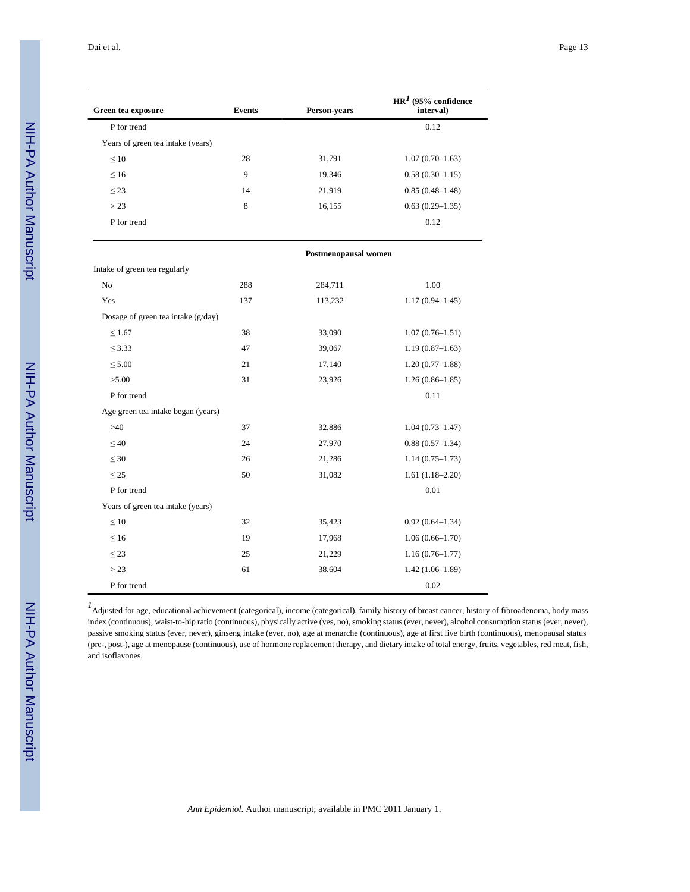Dai et al. Page 13

| Green tea exposure                   | <b>Events</b> | Person-years         | $HR1$ (95% confidence<br>interval) |
|--------------------------------------|---------------|----------------------|------------------------------------|
| P for trend                          |               |                      | 0.12                               |
| Years of green tea intake (years)    |               |                      |                                    |
| $\leq 10$                            | 28            | 31,791               | $1.07(0.70-1.63)$                  |
| $\leq 16$                            | 9             | 19,346               | $0.58(0.30-1.15)$                  |
| $\leq$ 23                            | 14            | 21,919               | $0.85(0.48 - 1.48)$                |
| > 23                                 | 8             | 16,155               | $0.63(0.29 - 1.35)$                |
| P for trend                          |               |                      | 0.12                               |
|                                      |               | Postmenopausal women |                                    |
| Intake of green tea regularly        |               |                      |                                    |
| N <sub>o</sub>                       | 288           | 284,711              | 1.00                               |
| Yes                                  | 137           | 113,232              | $1.17(0.94 - 1.45)$                |
| Dosage of green tea intake $(g/day)$ |               |                      |                                    |
| $\leq 1.67$                          | 38            | 33,090               | $1.07(0.76 - 1.51)$                |
| $\leq$ 3.33                          | 47            | 39,067               | $1.19(0.87-1.63)$                  |
| $\leq 5.00$                          | 21            | 17,140               | $1.20(0.77-1.88)$                  |
| >5.00                                | 31            | 23,926               | $1.26(0.86 - 1.85)$                |
| P for trend                          |               |                      | 0.11                               |
| Age green tea intake began (years)   |               |                      |                                    |
| >40                                  | 37            | 32,886               | $1.04(0.73 - 1.47)$                |
| $\leq 40$                            | 24            | 27,970               | $0.88(0.57-1.34)$                  |
| $\leq 30$                            | 26            | 21,286               | $1.14(0.75 - 1.73)$                |
| $\leq$ 25                            | 50            | 31,082               | $1.61(1.18-2.20)$                  |
| P for trend                          |               |                      | 0.01                               |
| Years of green tea intake (years)    |               |                      |                                    |
| $\leq 10$                            | 32            | 35,423               | $0.92(0.64 - 1.34)$                |
| $\leq 16$                            | 19            | 17,968               | $1.06(0.66 - 1.70)$                |
| $\leq$ 23                            | 25            | 21,229               | $1.16(0.76 - 1.77)$                |
| > 23                                 | 61            | 38,604               | $1.42(1.06-1.89)$                  |
| P for trend                          |               |                      | 0.02                               |

<sup>1</sup><br>Adjusted for age, educational achievement (categorical), income (categorical), family history of breast cancer, history of fibroadenoma, body mass index (continuous), waist-to-hip ratio (continuous), physically active (yes, no), smoking status (ever, never), alcohol consumption status (ever, never), passive smoking status (ever, never), ginseng intake (ever, no), age at menarche (continuous), age at first live birth (continuous), menopausal status (pre-, post-), age at menopause (continuous), use of hormone replacement therapy, and dietary intake of total energy, fruits, vegetables, red meat, fish, and isoflavones.